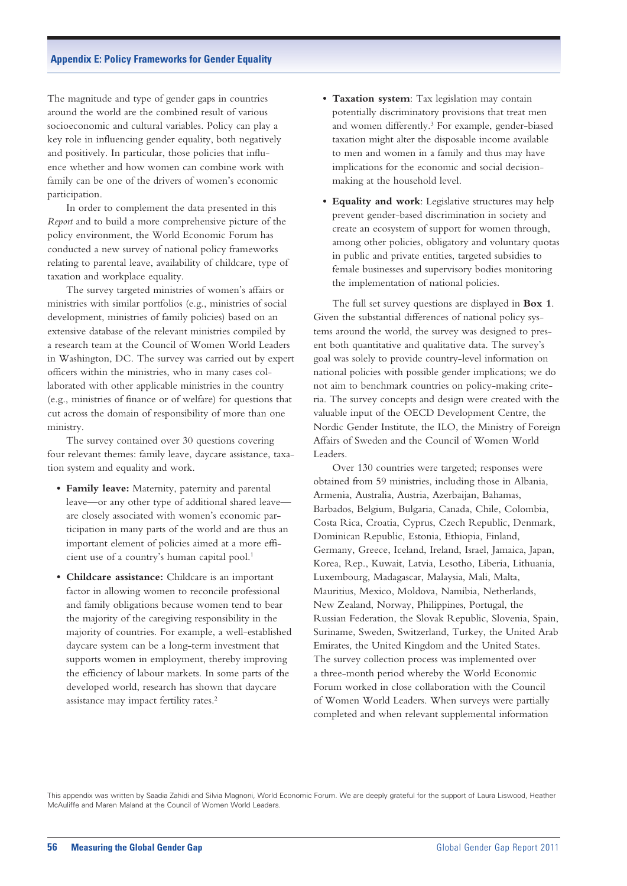The magnitude and type of gender gaps in countries around the world are the combined result of various socioeconomic and cultural variables. Policy can play a key role in influencing gender equality, both negatively and positively. In particular, those policies that influence whether and how women can combine work with family can be one of the drivers of women's economic participation.

In order to complement the data presented in this *Report* and to build a more comprehensive picture of the policy environment, the World Economic Forum has conducted a new survey of national policy frameworks relating to parental leave, availability of childcare, type of taxation and workplace equality.

The survey targeted ministries of women's affairs or ministries with similar portfolios (e.g., ministries of social development, ministries of family policies) based on an extensive database of the relevant ministries compiled by a research team at the Council of Women World Leaders in Washington, DC. The survey was carried out by expert officers within the ministries, who in many cases collaborated with other applicable ministries in the country (e.g., ministries of finance or of welfare) for questions that cut across the domain of responsibility of more than one ministry.

The survey contained over 30 questions covering four relevant themes: family leave, daycare assistance, taxation system and equality and work.

- **• Family leave:** Maternity, paternity and parental leave—or any other type of additional shared leave are closely associated with women's economic participation in many parts of the world and are thus an important element of policies aimed at a more efficient use of a country's human capital pool.1
- Childcare assistance: Childcare is an important factor in allowing women to reconcile professional and family obligations because women tend to bear the majority of the caregiving responsibility in the majority of countries. For example, a well-established daycare system can be a long-term investment that supports women in employment, thereby improving the efficiency of labour markets. In some parts of the developed world, research has shown that daycare assistance may impact fertility rates.2
- Taxation system: Tax legislation may contain potentially discriminatory provisions that treat men and women differently.3 For example, gender-biased taxation might alter the disposable income available to men and women in a family and thus may have implications for the economic and social decisionmaking at the household level.
- **• Equality and work**: Legislative structures may help prevent gender-based discrimination in society and create an ecosystem of support for women through, among other policies, obligatory and voluntary quotas in public and private entities, targeted subsidies to female businesses and supervisory bodies monitoring the implementation of national policies.

The full set survey questions are displayed in **Box 1**. Given the substantial differences of national policy systems around the world, the survey was designed to present both quantitative and qualitative data. The survey's goal was solely to provide country-level information on national policies with possible gender implications; we do not aim to benchmark countries on policy-making criteria. The survey concepts and design were created with the valuable input of the OECD Development Centre, the Nordic Gender Institute, the ILO, the Ministry of Foreign Affairs of Sweden and the Council of Women World Leaders.

Over 130 countries were targeted; responses were obtained from 59 ministries, including those in Albania, Armenia, Australia, Austria, Azerbaijan, Bahamas, Barbados, Belgium, Bulgaria, Canada, Chile, Colombia, Costa Rica, Croatia, Cyprus, Czech Republic, Denmark, Dominican Republic, Estonia, Ethiopia, Finland, Germany, Greece, Iceland, Ireland, Israel, Jamaica, Japan, Korea, Rep., Kuwait, Latvia, Lesotho, Liberia, Lithuania, Luxembourg, Madagascar, Malaysia, Mali, Malta, Mauritius, Mexico, Moldova, Namibia, Netherlands, New Zealand, Norway, Philippines, Portugal, the Russian Federation, the Slovak Republic, Slovenia, Spain, Suriname, Sweden, Switzerland, Turkey, the United Arab Emirates, the United Kingdom and the United States. The survey collection process was implemented over a three-month period whereby the World Economic Forum worked in close collaboration with the Council of Women World Leaders. When surveys were partially completed and when relevant supplemental information

This appendix was written by Saadia Zahidi and Silvia Magnoni, World Economic Forum. We are deeply grateful for the support of Laura Liswood, Heather McAuliffe and Maren Maland at the Council of Women World Leaders.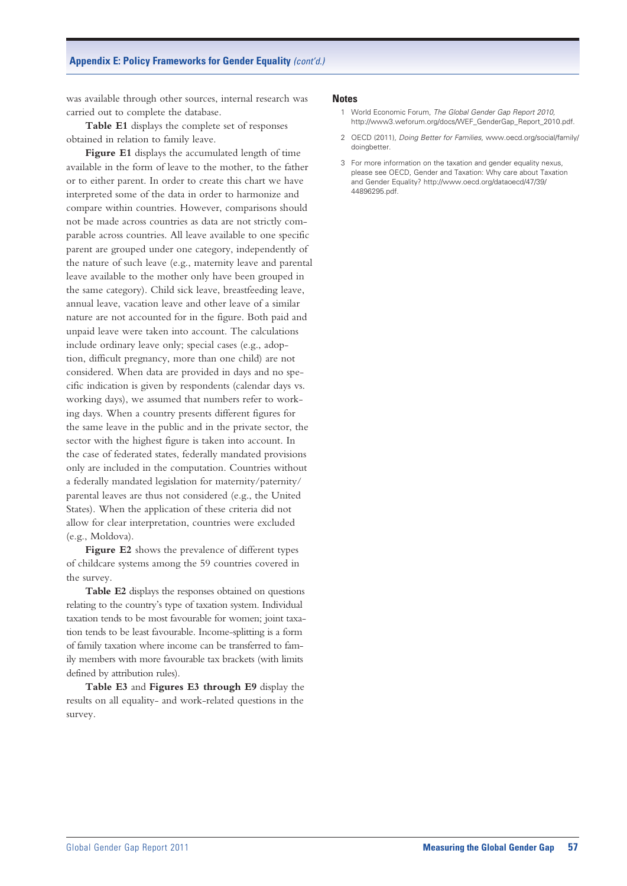was available through other sources, internal research was carried out to complete the database.

**Table E1** displays the complete set of responses obtained in relation to family leave.

**Figure E1** displays the accumulated length of time available in the form of leave to the mother, to the father or to either parent. In order to create this chart we have interpreted some of the data in order to harmonize and compare within countries. However, comparisons should not be made across countries as data are not strictly comparable across countries. All leave available to one specific parent are grouped under one category, independently of the nature of such leave (e.g., maternity leave and parental leave available to the mother only have been grouped in the same category). Child sick leave, breastfeeding leave, annual leave, vacation leave and other leave of a similar nature are not accounted for in the figure. Both paid and unpaid leave were taken into account. The calculations include ordinary leave only; special cases (e.g., adoption, difficult pregnancy, more than one child) are not considered. When data are provided in days and no specific indication is given by respondents (calendar days vs. working days), we assumed that numbers refer to working days. When a country presents different figures for the same leave in the public and in the private sector, the sector with the highest figure is taken into account. In the case of federated states, federally mandated provisions only are included in the computation. Countries without a federally mandated legislation for maternity/paternity/ parental leaves are thus not considered (e.g., the United States). When the application of these criteria did not allow for clear interpretation, countries were excluded (e.g., Moldova).

**Figure E2** shows the prevalence of different types of childcare systems among the 59 countries covered in the survey.

**Table E2** displays the responses obtained on questions relating to the country's type of taxation system. Individual taxation tends to be most favourable for women; joint taxation tends to be least favourable. Income-splitting is a form of family taxation where income can be transferred to family members with more favourable tax brackets (with limits defined by attribution rules).

**Table E3** and **Figures E3 through E9** display the results on all equality- and work-related questions in the survey.

#### **Notes**

- 1 World Economic Forum, *The Global Gender Gap Report 2010,* http://www3.weforum.org/docs/WEF\_GenderGap\_Report\_2010.pdf.
- 2 OECD (2011), *Doing Better for Families,* www.oecd.org/social/family/ doingbetter.
- 3 For more information on the taxation and gender equality nexus, please see OECD, Gender and Taxation: Why care about Taxation and Gender Equality? http://www.oecd.org/dataoecd/47/39/ 44896295.pdf.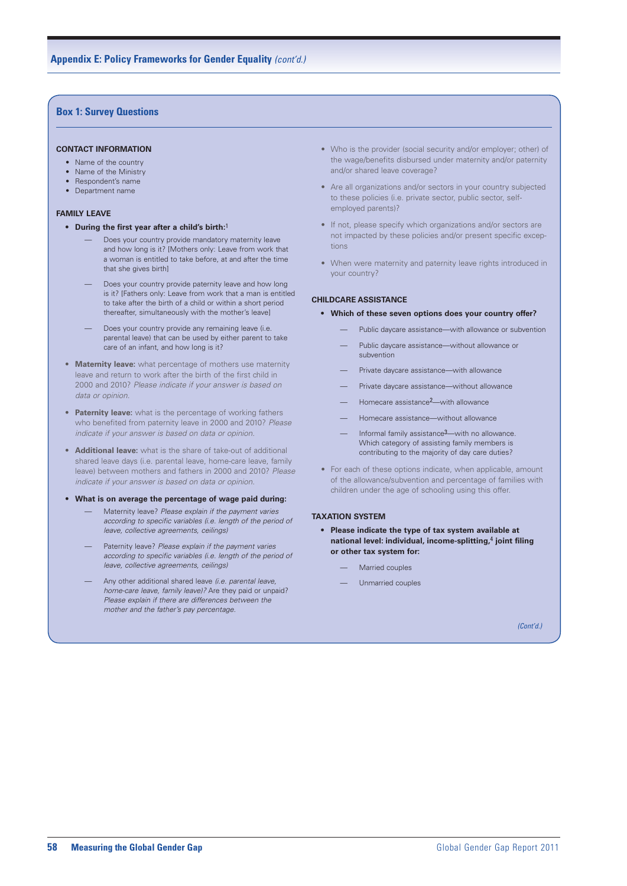#### **Box 1: Survey Questions**

#### **CONTACT INFORMATION**

- Name of the country
- Name of the Ministry
- Respondent's name
- • Department name

#### **FAMILY LEAVE**

- **• During the first year after a child's birth:**1
	- Does your country provide mandatory maternity leave and how long is it? [Mothers only: Leave from work that a woman is entitled to take before, at and after the time that she gives birth]
	- Does your country provide paternity leave and how long is it? [Fathers only: Leave from work that a man is entitled to take after the birth of a child or within a short period thereafter, simultaneously with the mother's leave]
	- Does your country provide any remaining leave (i.e. parental leave) that can be used by either parent to take care of an infant, and how long is it?
- **Maternity leave:** what percentage of mothers use maternity leave and return to work after the birth of the first child in 2000 and 2010? *Please indicate if your answer is based on data or opinion.*
- **Paternity leave:** what is the percentage of working fathers who benefited from paternity leave in 2000 and 2010? *Please indicate if your answer is based on data or opinion.*
- **Additional leave:** what is the share of take-out of additional shared leave days (i.e. parental leave, home-care leave, family leave) between mothers and fathers in 2000 and 2010? *Please indicate if your answer is based on data or opinion.*

#### **• What is on average the percentage of wage paid during:**

- Maternity leave? *Please explain if the payment varies according to specific variables (i.e. length of the period of leave, collective agreements, ceilings)*
- Paternity leave? *Please explain if the payment varies according to specific variables (i.e. length of the period of leave, collective agreements, ceilings)*
- Any other additional shared leave *(i.e. parental leave, home-care leave, family leave)?* Are they paid or unpaid? *Please explain if there are differences between the mother and the father's pay percentage.*
- Who is the provider (social security and/or employer; other) of the wage/benefits disbursed under maternity and/or paternity and/or shared leave coverage?
- Are all organizations and/or sectors in your country subjected to these policies (i.e. private sector, public sector, selfemployed parents)?
- If not, please specify which organizations and/or sectors are not impacted by these policies and/or present specific exceptions
- When were maternity and paternity leave rights introduced in your country?

#### **CHILDCARE ASSISTANCE**

#### **• Which of these seven options does your country offer?**

- Public daycare assistance—with allowance or subvention
- Public daycare assistance—without allowance or subvention
- Private daycare assistance—with allowance
- Private daycare assistance—without allowance
- Homecare assistance2—with allowance
- Homecare assistance—without allowance
- Informal family assistance<sup>3</sup>—with no allowance. Which category of assisting family members is contributing to the majority of day care duties?
- For each of these options indicate, when applicable, amount of the allowance/subvention and percentage of families with children under the age of schooling using this offer.

#### **TAXATION SYSTEM**

- **• Please indicate the type of tax system available at national level: individual, income-splitting,**4 **joint filing or other tax system for:**
	- Married couples
	- Unmarried couples

*(Cont'd.)*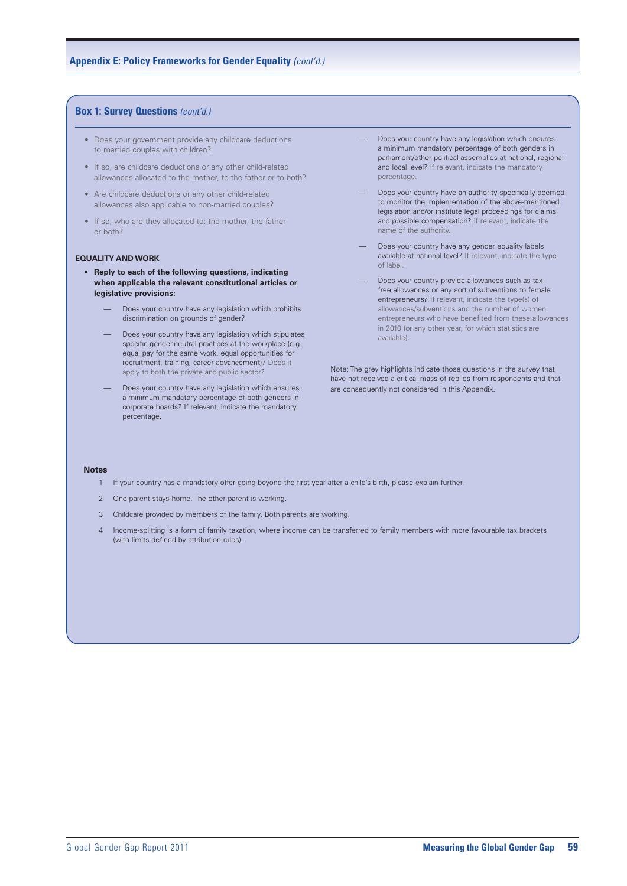#### **Box 1: Survey Questions** *(cont'd.)*

- Does your government provide any childcare deductions to married couples with children?
- If so, are childcare deductions or any other child-related allowances allocated to the mother, to the father or to both?
- Are childcare deductions or any other child-related allowances also applicable to non-married couples?
- • If so, who are they allocated to: the mother, the father or both?

#### **EQUALITY AND WORK**

- **• Reply to each of the following questions, indicating when applicable the relevant constitutional articles or legislative provisions:**
	- Does your country have any legislation which prohibits discrimination on grounds of gender?
	- Does your country have any legislation which stipulates specific gender-neutral practices at the workplace (e.g. equal pay for the same work, equal opportunities for recruitment, training, career advancement)? Does it apply to both the private and public sector?
	- Does your country have any legislation which ensures a minimum mandatory percentage of both genders in corporate boards? If relevant, indicate the mandatory percentage.
- Does your country have any legislation which ensures a minimum mandatory percentage of both genders in parliament/other political assemblies at national, regional and local level? If relevant, indicate the mandatory percentage.
- Does your country have an authority specifically deemed to monitor the implementation of the above-mentioned legislation and/or institute legal proceedings for claims and possible compensation? If relevant, indicate the name of the authority.
- Does your country have any gender equality labels available at national level? If relevant, indicate the type of label.
- Does your country provide allowances such as taxfree allowances or any sort of subventions to female entrepreneurs? If relevant, indicate the type(s) of allowances/subventions and the number of women entrepreneurs who have benefited from these allowances in 2010 (or any other year, for which statistics are available).

Note: The grey highlights indicate those questions in the survey that have not received a critical mass of replies from respondents and that are consequently not considered in this Appendix.

#### **Notes**

- 1 If your country has a mandatory offer going beyond the first year after a child's birth, please explain further.
- 2 One parent stays home. The other parent is working.
- 3 Childcare provided by members of the family. Both parents are working.
- 4 Income-splitting is a form of family taxation, where income can be transferred to family members with more favourable tax brackets (with limits defined by attribution rules).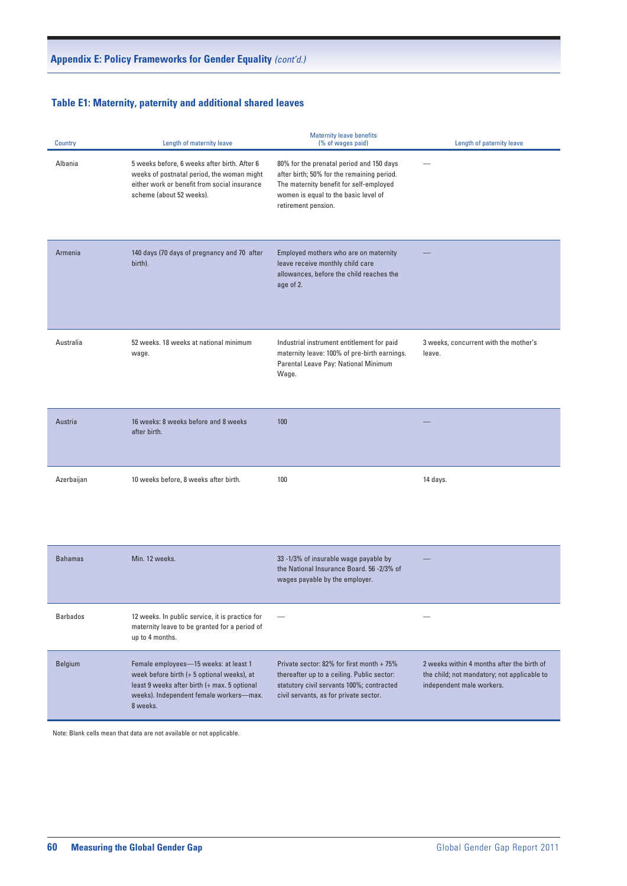# **Table E1: Maternity, paternity and additional shared leaves Table E1: Maternity, paternity and additional shared leaves** *(cont'd.)*

| Country    | Length of maternity leave                                                                                                                                                                  | <b>Maternity leave benefits</b><br>(% of wages paid)                                                                                                                                             | Length of paternity leave                                                                                              |
|------------|--------------------------------------------------------------------------------------------------------------------------------------------------------------------------------------------|--------------------------------------------------------------------------------------------------------------------------------------------------------------------------------------------------|------------------------------------------------------------------------------------------------------------------------|
| Albania    | 5 weeks before, 6 weeks after birth. After 6<br>weeks of postnatal period, the woman might<br>either work or benefit from social insurance<br>scheme (about 52 weeks).                     | 80% for the prenatal period and 150 days<br>after birth; 50% for the remaining period.<br>The maternity benefit for self-employed<br>women is equal to the basic level of<br>retirement pension. | $\hspace{0.1mm}-\hspace{0.1mm}$                                                                                        |
| Armenia    | 140 days (70 days of pregnancy and 70 after<br>birth).                                                                                                                                     | Employed mothers who are on maternity<br>leave receive monthly child care<br>allowances, before the child reaches the<br>age of 2.                                                               |                                                                                                                        |
| Australia  | 52 weeks, 18 weeks at national minimum<br>wage.                                                                                                                                            | Industrial instrument entitlement for paid<br>maternity leave: 100% of pre-birth earnings.<br>Parental Leave Pay: National Minimum<br>Wage.                                                      | 3 weeks, concurrent with the mother's<br>leave.                                                                        |
| Austria    | 16 weeks: 8 weeks before and 8 weeks<br>after birth.                                                                                                                                       | 100                                                                                                                                                                                              |                                                                                                                        |
| Azerbaijan | 10 weeks before, 8 weeks after birth.                                                                                                                                                      | 100                                                                                                                                                                                              | 14 days.                                                                                                               |
| Bahamas    | Min. 12 weeks.                                                                                                                                                                             | 33 -1/3% of insurable wage payable by<br>the National Insurance Board. 56 -2/3% of<br>wages payable by the employer.                                                                             | $\qquad \qquad -$                                                                                                      |
| Barbados   | 12 weeks. In public service, it is practice for<br>maternity leave to be granted for a period of<br>up to 4 months.                                                                        | $\hspace{0.1mm}-\hspace{0.1mm}$                                                                                                                                                                  | $\qquad \qquad -$                                                                                                      |
| Belgium    | Female employees-15 weeks: at least 1<br>week before birth (+ 5 optional weeks), at<br>least 9 weeks after birth (+ max. 5 optional<br>weeks). Independent female workers-max.<br>8 weeks. | Private sector: 82% for first month + 75%<br>thereafter up to a ceiling. Public sector:<br>statutory civil servants 100%; contracted<br>civil servants, as for private sector.                   | 2 weeks within 4 months after the birth of<br>the child; not mandatory; not applicable to<br>independent male workers. |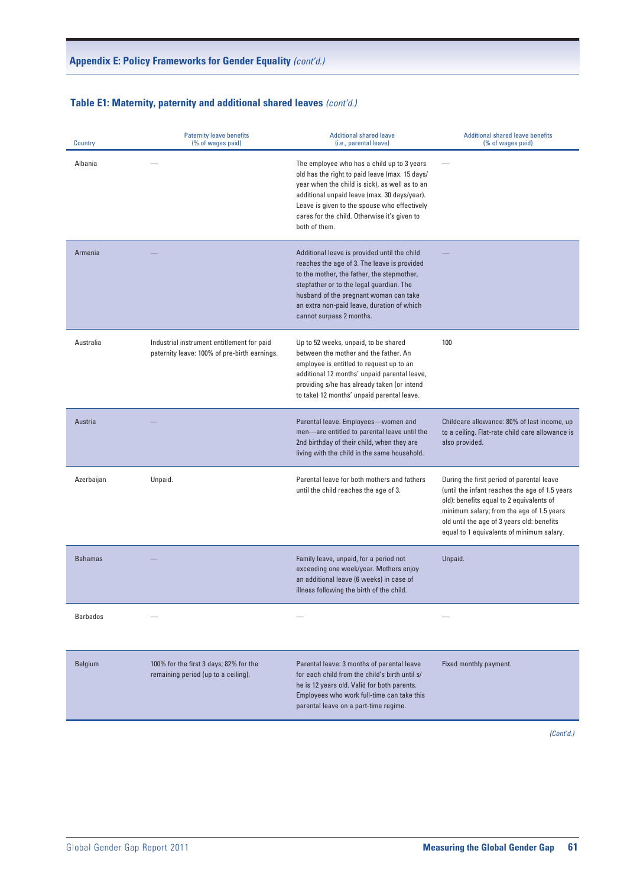# **Table E1: Maternity, paternity and additional shared leaves** (cont'd.)

| Country        | Paternity leave benefits<br>(% of wages paid)                                              | <b>Additional shared leave</b><br>(i.e., parental leave)                                                                                                                                                                                                                                                        | <b>Additional shared leave benefits</b><br>(% of wages paid)                                                                                                                                                                                                                    |
|----------------|--------------------------------------------------------------------------------------------|-----------------------------------------------------------------------------------------------------------------------------------------------------------------------------------------------------------------------------------------------------------------------------------------------------------------|---------------------------------------------------------------------------------------------------------------------------------------------------------------------------------------------------------------------------------------------------------------------------------|
| Albania        | $\overline{\phantom{0}}$                                                                   | The employee who has a child up to 3 years<br>old has the right to paid leave (max. 15 days/<br>year when the child is sick), as well as to an<br>additional unpaid leave (max. 30 days/year).<br>Leave is given to the spouse who effectively<br>cares for the child. Otherwise it's given to<br>both of them. | $\hspace{0.1mm}-\hspace{0.1mm}$                                                                                                                                                                                                                                                 |
| Armenia        |                                                                                            | Additional leave is provided until the child<br>reaches the age of 3. The leave is provided<br>to the mother, the father, the stepmother,<br>stepfather or to the legal guardian. The<br>husband of the pregnant woman can take<br>an extra non-paid leave, duration of which<br>cannot surpass 2 months.       |                                                                                                                                                                                                                                                                                 |
| Australia      | Industrial instrument entitlement for paid<br>paternity leave: 100% of pre-birth earnings. | Up to 52 weeks, unpaid, to be shared<br>between the mother and the father. An<br>employee is entitled to request up to an<br>additional 12 months' unpaid parental leave,<br>providing s/he has already taken (or intend<br>to take) 12 months' unpaid parental leave.                                          | 100                                                                                                                                                                                                                                                                             |
| Austria        |                                                                                            | Parental leave. Employees-women and<br>men-are entitled to parental leave until the<br>2nd birthday of their child, when they are<br>living with the child in the same household.                                                                                                                               | Childcare allowance: 80% of last income, up<br>to a ceiling. Flat-rate child care allowance is<br>also provided.                                                                                                                                                                |
| Azerbaijan     | Unpaid.                                                                                    | Parental leave for both mothers and fathers<br>until the child reaches the age of 3.                                                                                                                                                                                                                            | During the first period of parental leave<br>(until the infant reaches the age of 1.5 years<br>old): benefits equal to 2 equivalents of<br>minimum salary; from the age of 1.5 years<br>old until the age of 3 years old: benefits<br>equal to 1 equivalents of minimum salary. |
| <b>Bahamas</b> |                                                                                            | Family leave, unpaid, for a period not<br>exceeding one week/year. Mothers enjoy<br>an additional leave (6 weeks) in case of<br>illness following the birth of the child.                                                                                                                                       | Unpaid.                                                                                                                                                                                                                                                                         |
| Barbados       | $\hspace{0.1mm}-\hspace{0.1mm}$                                                            | $\overline{\phantom{m}}$                                                                                                                                                                                                                                                                                        | $\overline{\phantom{m}}$                                                                                                                                                                                                                                                        |
| Belgium        | 100% for the first 3 days; 82% for the<br>remaining period (up to a ceiling).              | Parental leave: 3 months of parental leave<br>for each child from the child's birth until s/<br>he is 12 years old. Valid for both parents.<br>Employees who work full-time can take this<br>parental leave on a part-time regime.                                                                              | Fixed monthly payment.                                                                                                                                                                                                                                                          |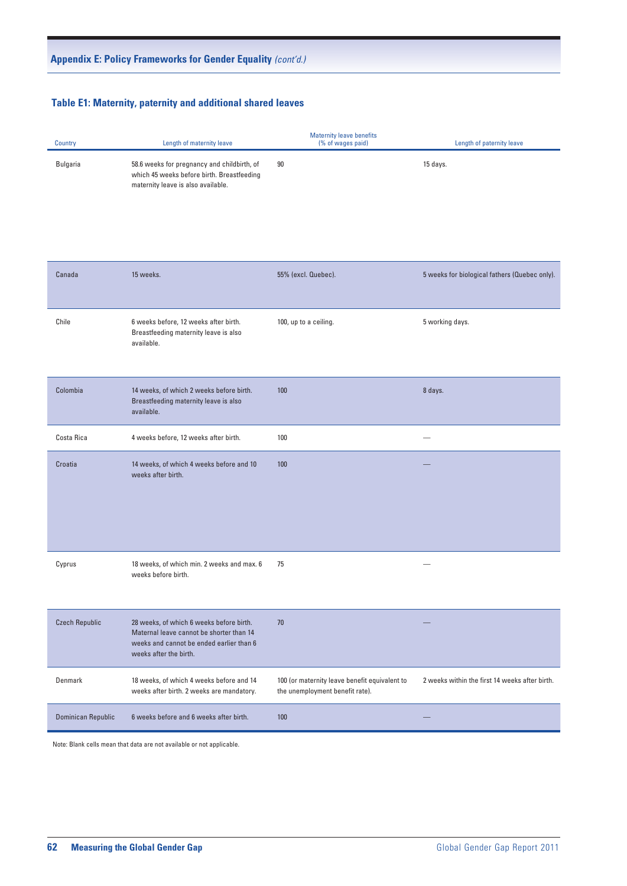# **Table E1: Maternity, paternity and additional shared leaves Table E1: Maternity, paternity and additional shared leaves** *(cont'd.)*

| Country               | Length of maternity leave                                                                                                                                  | Maternity leave benefits<br>(% of wages paid)                                    | Length of paternity leave                      |
|-----------------------|------------------------------------------------------------------------------------------------------------------------------------------------------------|----------------------------------------------------------------------------------|------------------------------------------------|
| Bulgaria              | 58.6 weeks for pregnancy and childbirth, of<br>which 45 weeks before birth. Breastfeeding<br>maternity leave is also available.                            | 90                                                                               | 15 days.                                       |
| Canada                | 15 weeks.                                                                                                                                                  | 55% (excl. Quebec).                                                              | 5 weeks for biological fathers (Quebec only).  |
| Chile                 | 6 weeks before, 12 weeks after birth.<br>Breastfeeding maternity leave is also<br>available.                                                               | 100, up to a ceiling.                                                            | 5 working days.                                |
| Colombia              | 14 weeks, of which 2 weeks before birth.<br>Breastfeeding maternity leave is also<br>available.                                                            | 100                                                                              | 8 days.                                        |
| Costa Rica            | 4 weeks before, 12 weeks after birth.                                                                                                                      | 100                                                                              | $\overline{\phantom{m}}$                       |
| Croatia               | 14 weeks, of which 4 weeks before and 10<br>weeks after birth.                                                                                             | 100                                                                              |                                                |
| Cyprus                | 18 weeks, of which min. 2 weeks and max. 6 75<br>weeks before birth.                                                                                       |                                                                                  | $\hspace{0.1mm}-\hspace{0.1mm}$                |
| <b>Czech Republic</b> | 28 weeks, of which 6 weeks before birth.<br>Maternal leave cannot be shorter than 14<br>weeks and cannot be ended earlier than 6<br>weeks after the birth. | 70                                                                               |                                                |
| Denmark               | 18 weeks, of which 4 weeks before and 14<br>weeks after birth. 2 weeks are mandatory.                                                                      | 100 (or maternity leave benefit equivalent to<br>the unemployment benefit rate). | 2 weeks within the first 14 weeks after birth. |
| Dominican Republic    | 6 weeks before and 6 weeks after birth.                                                                                                                    | 100                                                                              |                                                |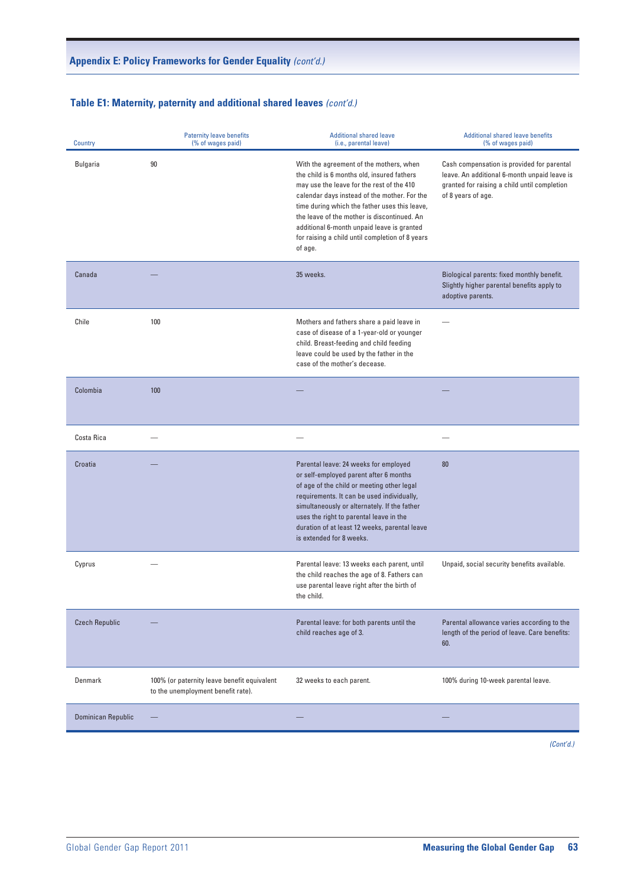# **Table E1: Maternity, paternity and additional shared leaves** (cont'd.)

| Country               | Paternity leave benefits<br>(% of wages paid)                                     | <b>Additional shared leave</b><br>(i.e., parental leave)                                                                                                                                                                                                                                                                                                                                       | <b>Additional shared leave benefits</b><br>(% of wages paid)                                                                                                     |
|-----------------------|-----------------------------------------------------------------------------------|------------------------------------------------------------------------------------------------------------------------------------------------------------------------------------------------------------------------------------------------------------------------------------------------------------------------------------------------------------------------------------------------|------------------------------------------------------------------------------------------------------------------------------------------------------------------|
| Bulgaria              | $90\,$                                                                            | With the agreement of the mothers, when<br>the child is 6 months old, insured fathers<br>may use the leave for the rest of the 410<br>calendar days instead of the mother. For the<br>time during which the father uses this leave,<br>the leave of the mother is discontinued. An<br>additional 6-month unpaid leave is granted<br>for raising a child until completion of 8 years<br>of age. | Cash compensation is provided for parental<br>leave. An additional 6-month unpaid leave is<br>granted for raising a child until completion<br>of 8 years of age. |
| Canada                |                                                                                   | 35 weeks.                                                                                                                                                                                                                                                                                                                                                                                      | Biological parents: fixed monthly benefit.<br>Slightly higher parental benefits apply to<br>adoptive parents.                                                    |
| Chile                 | 100                                                                               | Mothers and fathers share a paid leave in<br>case of disease of a 1-year-old or younger<br>child. Breast-feeding and child feeding<br>leave could be used by the father in the<br>case of the mother's decease.                                                                                                                                                                                | $\overline{\phantom{m}}$                                                                                                                                         |
| Colombia              | 100                                                                               |                                                                                                                                                                                                                                                                                                                                                                                                |                                                                                                                                                                  |
| Costa Rica            |                                                                                   | $\hspace{0.1mm}-\hspace{0.1mm}$                                                                                                                                                                                                                                                                                                                                                                | $\hspace{0.1mm}-\hspace{0.1mm}$                                                                                                                                  |
| Croatia               |                                                                                   | Parental leave: 24 weeks for employed<br>or self-employed parent after 6 months<br>of age of the child or meeting other legal<br>requirements. It can be used individually,<br>simultaneously or alternately. If the father<br>uses the right to parental leave in the<br>duration of at least 12 weeks, parental leave<br>is extended for 8 weeks.                                            | 80                                                                                                                                                               |
| Cyprus                |                                                                                   | Parental leave: 13 weeks each parent, until<br>the child reaches the age of 8. Fathers can<br>use parental leave right after the birth of<br>the child.                                                                                                                                                                                                                                        | Unpaid, social security benefits available.                                                                                                                      |
| <b>Czech Republic</b> |                                                                                   | Parental leave: for both parents until the<br>child reaches age of 3.                                                                                                                                                                                                                                                                                                                          | Parental allowance varies according to the<br>length of the period of leave. Care benefits:<br>60.                                                               |
| Denmark               | 100% (or paternity leave benefit equivalent<br>to the unemployment benefit rate). | 32 weeks to each parent.                                                                                                                                                                                                                                                                                                                                                                       | 100% during 10-week parental leave.                                                                                                                              |
| Dominican Republic    | $\overline{\phantom{a}}$                                                          |                                                                                                                                                                                                                                                                                                                                                                                                |                                                                                                                                                                  |
|                       |                                                                                   |                                                                                                                                                                                                                                                                                                                                                                                                |                                                                                                                                                                  |

 $N_{\rm eff}$  (Cont'd.) $\alpha$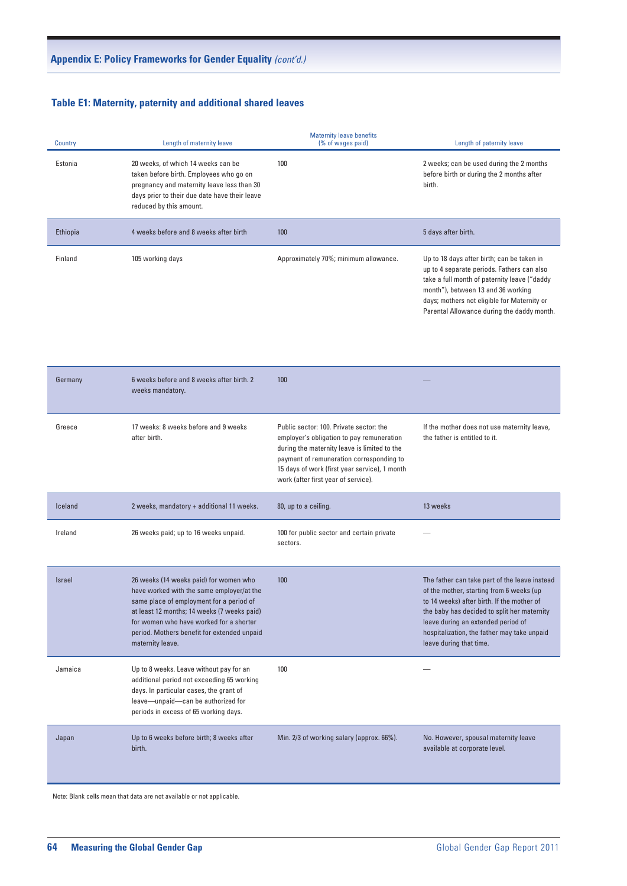# **Table E1: Maternity, paternity and additional shared leaves Table E1: Maternity, paternity and additional shared leaves** *(cont'd.)*

| <b>Country</b> | Length of maternity leave                                                                                                                                                                               | <b>Maternity leave benefits</b><br>(% of wages paid) | Length of paternity leave                                                                                                                                                                                                                                                   |
|----------------|---------------------------------------------------------------------------------------------------------------------------------------------------------------------------------------------------------|------------------------------------------------------|-----------------------------------------------------------------------------------------------------------------------------------------------------------------------------------------------------------------------------------------------------------------------------|
| Estonia        | 20 weeks, of which 14 weeks can be<br>taken before birth. Employees who go on<br>pregnancy and maternity leave less than 30<br>days prior to their due date have their leave<br>reduced by this amount. | 100                                                  | 2 weeks; can be used during the 2 months<br>before birth or during the 2 months after<br>birth.                                                                                                                                                                             |
| Ethiopia       | 4 weeks before and 8 weeks after birth                                                                                                                                                                  | 100                                                  | 5 days after birth.                                                                                                                                                                                                                                                         |
| Finland        | 105 working days                                                                                                                                                                                        | Approximately 70%; minimum allowance.                | Up to 18 days after birth; can be taken in<br>up to 4 separate periods. Fathers can also<br>take a full month of paternity leave ("daddy<br>month"), between 13 and 36 working<br>days; mothers not eligible for Maternity or<br>Parental Allowance during the daddy month. |

| Germany | 6 weeks before and 8 weeks after birth. 2<br>weeks mandatory.                                                                                                                                                                                                                                | 100                                                                                                                                                                                                                                                                      |                                                                                                                                                                                                                                                                                                        |
|---------|----------------------------------------------------------------------------------------------------------------------------------------------------------------------------------------------------------------------------------------------------------------------------------------------|--------------------------------------------------------------------------------------------------------------------------------------------------------------------------------------------------------------------------------------------------------------------------|--------------------------------------------------------------------------------------------------------------------------------------------------------------------------------------------------------------------------------------------------------------------------------------------------------|
| Greece  | 17 weeks: 8 weeks before and 9 weeks<br>after birth.                                                                                                                                                                                                                                         | Public sector: 100. Private sector: the<br>employer's obligation to pay remuneration<br>during the maternity leave is limited to the<br>payment of remuneration corresponding to<br>15 days of work (first year service), 1 month<br>work (after first year of service). | If the mother does not use maternity leave,<br>the father is entitled to it.                                                                                                                                                                                                                           |
| Iceland | 2 weeks, mandatory + additional 11 weeks.                                                                                                                                                                                                                                                    | 80, up to a ceiling.                                                                                                                                                                                                                                                     | 13 weeks                                                                                                                                                                                                                                                                                               |
| Ireland | 26 weeks paid; up to 16 weeks unpaid.                                                                                                                                                                                                                                                        | 100 for public sector and certain private<br>sectors.                                                                                                                                                                                                                    | $\overline{\phantom{m}}$                                                                                                                                                                                                                                                                               |
| Israel  | 26 weeks (14 weeks paid) for women who<br>have worked with the same employer/at the<br>same place of employment for a period of<br>at least 12 months; 14 weeks (7 weeks paid)<br>for women who have worked for a shorter<br>period. Mothers benefit for extended unpaid<br>maternity leave. | 100                                                                                                                                                                                                                                                                      | The father can take part of the leave instead<br>of the mother, starting from 6 weeks (up<br>to 14 weeks) after birth. If the mother of<br>the baby has decided to split her maternity<br>leave during an extended period of<br>hospitalization, the father may take unpaid<br>leave during that time. |
| Jamaica | Up to 8 weeks. Leave without pay for an<br>additional period not exceeding 65 working<br>days. In particular cases, the grant of<br>leave-unpaid-can be authorized for<br>periods in excess of 65 working days.                                                                              | 100                                                                                                                                                                                                                                                                      |                                                                                                                                                                                                                                                                                                        |
| Japan   | Up to 6 weeks before birth; 8 weeks after<br>birth.                                                                                                                                                                                                                                          | Min. 2/3 of working salary (approx. 66%).                                                                                                                                                                                                                                | No. However, spousal maternity leave<br>available at corporate level.                                                                                                                                                                                                                                  |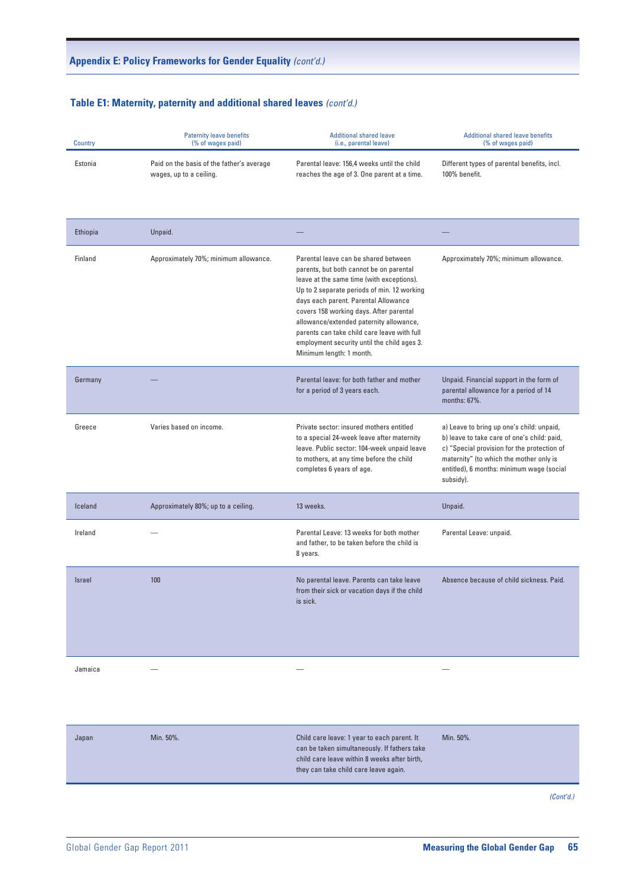# **Table E1: Maternity, paternity and additional shared leaves** (cont'd.)

| Country  | Paternity leave benefits<br>(% of wages paid)                        | <b>Additional shared leave</b><br>(i.e., parental leave)                                                                                                                                                                                                                                                                                                                                                                            | <b>Additional shared leave benefits</b><br>(% of wages paid)                                                                                                                                                                                 |
|----------|----------------------------------------------------------------------|-------------------------------------------------------------------------------------------------------------------------------------------------------------------------------------------------------------------------------------------------------------------------------------------------------------------------------------------------------------------------------------------------------------------------------------|----------------------------------------------------------------------------------------------------------------------------------------------------------------------------------------------------------------------------------------------|
| Estonia  | Paid on the basis of the father's average<br>wages, up to a ceiling. | Parental leave: 156,4 weeks until the child<br>reaches the age of 3. One parent at a time.                                                                                                                                                                                                                                                                                                                                          | Different types of parental benefits, incl.<br>100% benefit.                                                                                                                                                                                 |
| Ethiopia | Unpaid.                                                              |                                                                                                                                                                                                                                                                                                                                                                                                                                     |                                                                                                                                                                                                                                              |
| Finland  | Approximately 70%; minimum allowance.                                | Parental leave can be shared between<br>parents, but both cannot be on parental<br>leave at the same time (with exceptions).<br>Up to 2 separate periods of min. 12 working<br>days each parent. Parental Allowance<br>covers 158 working days. After parental<br>allowance/extended paternity allowance,<br>parents can take child care leave with full<br>employment security until the child ages 3.<br>Minimum length: 1 month. | Approximately 70%; minimum allowance.                                                                                                                                                                                                        |
| Germany  |                                                                      | Parental leave: for both father and mother<br>for a period of 3 years each.                                                                                                                                                                                                                                                                                                                                                         | Unpaid. Financial support in the form of<br>parental allowance for a period of 14<br>months: 67%.                                                                                                                                            |
| Greece   | Varies based on income.                                              | Private sector: insured mothers entitled<br>to a special 24-week leave after maternity<br>leave. Public sector: 104-week unpaid leave<br>to mothers, at any time before the child<br>completes 6 years of age.                                                                                                                                                                                                                      | a) Leave to bring up one's child: unpaid,<br>b) leave to take care of one's child: paid,<br>c) "Special provision for the protection of<br>maternity" (to which the mother only is<br>entitled), 6 months: minimum wage (social<br>subsidy). |
| Iceland  | Approximately 80%; up to a ceiling.                                  | 13 weeks.                                                                                                                                                                                                                                                                                                                                                                                                                           | Unpaid.                                                                                                                                                                                                                                      |
| Ireland  | $\overline{\phantom{m}}$                                             | Parental Leave: 13 weeks for both mother<br>and father, to be taken before the child is<br>8 years.                                                                                                                                                                                                                                                                                                                                 | Parental Leave: unpaid.                                                                                                                                                                                                                      |
| Israel   | 100                                                                  | No parental leave. Parents can take leave<br>from their sick or vacation days if the child<br>is sick.                                                                                                                                                                                                                                                                                                                              | Absence because of child sickness. Paid.                                                                                                                                                                                                     |
| Jamaica  | $\overline{\phantom{0}}$                                             | $\overline{\phantom{m}}$                                                                                                                                                                                                                                                                                                                                                                                                            | $\overline{\phantom{m}}$                                                                                                                                                                                                                     |
| Japan    | Min. 50%.                                                            | Child care leave: 1 year to each parent. It<br>can be taken simultaneously. If fathers take<br>child care leave within 8 weeks after birth,<br>they can take child care leave again.                                                                                                                                                                                                                                                | Min. 50%.                                                                                                                                                                                                                                    |

 $N_{\rm eff}$  (Cont'd.) $\alpha$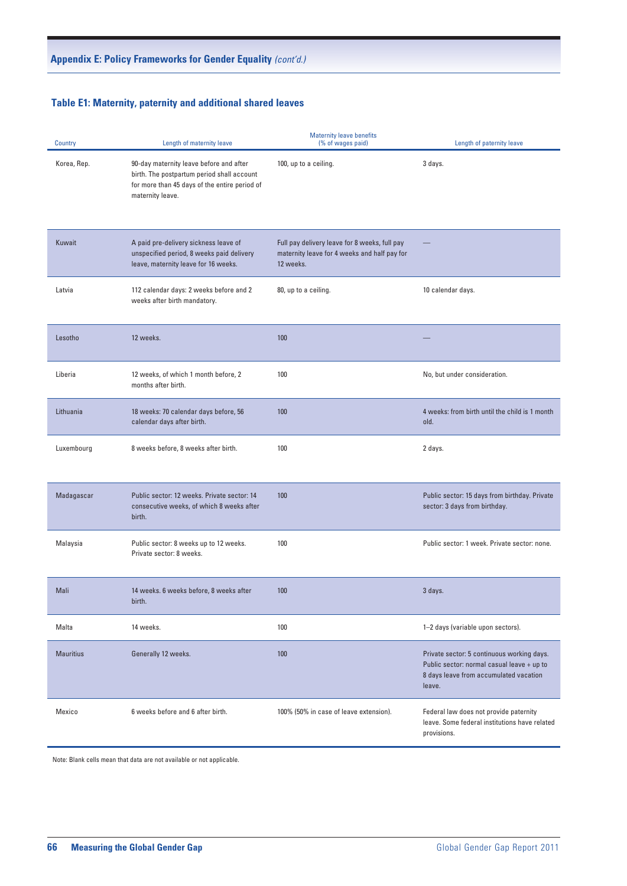# **Table E1: Maternity, paternity and additional shared leaves Table E1: Maternity, paternity and additional shared leaves** *(cont'd.)*

| <b>Country</b>   | Length of maternity leave                                                                                                                                  | <b>Maternity leave benefits</b><br>(% of wages paid)                                                       | Length of paternity leave                                                                                                                    |
|------------------|------------------------------------------------------------------------------------------------------------------------------------------------------------|------------------------------------------------------------------------------------------------------------|----------------------------------------------------------------------------------------------------------------------------------------------|
| Korea, Rep.      | 90-day maternity leave before and after<br>birth. The postpartum period shall account<br>for more than 45 days of the entire period of<br>maternity leave. | 100, up to a ceiling.                                                                                      | 3 days.                                                                                                                                      |
| Kuwait           | A paid pre-delivery sickness leave of<br>unspecified period, 8 weeks paid delivery<br>leave, maternity leave for 16 weeks.                                 | Full pay delivery leave for 8 weeks, full pay<br>maternity leave for 4 weeks and half pay for<br>12 weeks. |                                                                                                                                              |
| Latvia           | 112 calendar days: 2 weeks before and 2<br>weeks after birth mandatory.                                                                                    | 80, up to a ceiling.                                                                                       | 10 calendar days.                                                                                                                            |
| Lesotho          | 12 weeks.                                                                                                                                                  | 100                                                                                                        |                                                                                                                                              |
| Liberia          | 12 weeks, of which 1 month before, 2<br>months after birth.                                                                                                | 100                                                                                                        | No, but under consideration.                                                                                                                 |
| Lithuania        | 18 weeks: 70 calendar days before, 56<br>calendar days after birth.                                                                                        | 100                                                                                                        | 4 weeks: from birth until the child is 1 month<br>old.                                                                                       |
| Luxembourg       | 8 weeks before, 8 weeks after birth.                                                                                                                       | 100                                                                                                        | 2 days.                                                                                                                                      |
| Madagascar       | Public sector: 12 weeks. Private sector: 14<br>consecutive weeks, of which 8 weeks after<br>birth.                                                         | 100                                                                                                        | Public sector: 15 days from birthday. Private<br>sector: 3 days from birthday.                                                               |
| Malaysia         | Public sector: 8 weeks up to 12 weeks.<br>Private sector: 8 weeks.                                                                                         | 100                                                                                                        | Public sector: 1 week. Private sector: none.                                                                                                 |
| Mali             | 14 weeks. 6 weeks before, 8 weeks after<br>birth.                                                                                                          | 100                                                                                                        | 3 days.                                                                                                                                      |
| Malta            | 14 weeks.                                                                                                                                                  | 100                                                                                                        | 1-2 days (variable upon sectors).                                                                                                            |
| <b>Mauritius</b> | Generally 12 weeks.                                                                                                                                        | 100                                                                                                        | Private sector: 5 continuous working days.<br>Public sector: normal casual leave + up to<br>8 days leave from accumulated vacation<br>leave. |
| Mexico           | 6 weeks before and 6 after birth.                                                                                                                          | 100% (50% in case of leave extension).                                                                     | Federal law does not provide paternity<br>leave. Some federal institutions have related<br>provisions.                                       |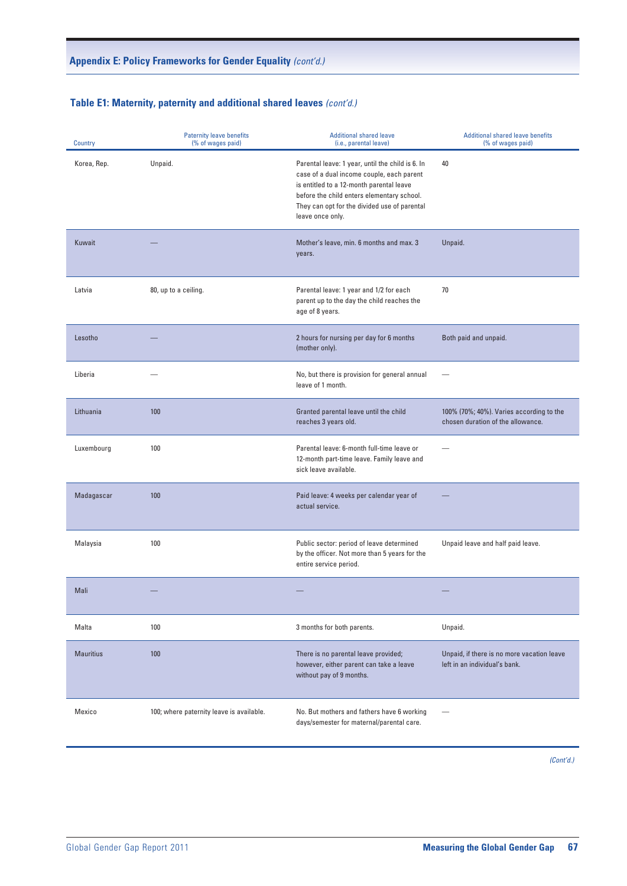# **Table E1: Maternity, paternity and additional shared leaves**  $\text{ (cont'd.)}$

| Country     | <b>Paternity leave benefits</b><br>(% of wages paid) | <b>Additional shared leave</b><br>(i.e., parental leave)                                                                                                                                                                                                    | <b>Additional shared leave benefits</b><br>(% of wages paid)                  |
|-------------|------------------------------------------------------|-------------------------------------------------------------------------------------------------------------------------------------------------------------------------------------------------------------------------------------------------------------|-------------------------------------------------------------------------------|
| Korea, Rep. | Unpaid.                                              | Parental leave: 1 year, until the child is 6. In<br>case of a dual income couple, each parent<br>is entitled to a 12-month parental leave<br>before the child enters elementary school.<br>They can opt for the divided use of parental<br>leave once only. | 40                                                                            |
| Kuwait      |                                                      | Mother's leave, min. 6 months and max. 3<br>years.                                                                                                                                                                                                          | Unpaid.                                                                       |
| Latvia      | 80, up to a ceiling.                                 | Parental leave: 1 year and 1/2 for each<br>parent up to the day the child reaches the<br>age of 8 years.                                                                                                                                                    | 70                                                                            |
| Lesotho     |                                                      | 2 hours for nursing per day for 6 months<br>(mother only).                                                                                                                                                                                                  | Both paid and unpaid.                                                         |
| Liberia     |                                                      | No, but there is provision for general annual<br>leave of 1 month.                                                                                                                                                                                          | $\overline{\phantom{a}}$                                                      |
| Lithuania   | 100                                                  | Granted parental leave until the child<br>reaches 3 years old.                                                                                                                                                                                              | 100% (70%; 40%). Varies according to the<br>chosen duration of the allowance. |
| Luxembourg  | 100                                                  | Parental leave: 6-month full-time leave or<br>12-month part-time leave. Family leave and<br>sick leave available.                                                                                                                                           | $\overline{\phantom{m}}$                                                      |
| Madagascar  | 100                                                  | Paid leave: 4 weeks per calendar year of<br>actual service.                                                                                                                                                                                                 | $\overline{\phantom{0}}$                                                      |
| Malaysia    | 100                                                  | Public sector: period of leave determined<br>by the officer. Not more than 5 years for the<br>entire service period.                                                                                                                                        | Unpaid leave and half paid leave.                                             |
| Mali        | $\overline{\phantom{m}}$                             |                                                                                                                                                                                                                                                             | $\qquad \qquad - \qquad \qquad$                                               |
| Malta       | 100                                                  | 3 months for both parents.                                                                                                                                                                                                                                  | Unpaid.                                                                       |
| Mauritius   | 100                                                  | There is no parental leave provided;<br>however, either parent can take a leave<br>without pay of 9 months.                                                                                                                                                 | Unpaid, if there is no more vacation leave<br>left in an individual's bank.   |
| Mexico      | 100; where paternity leave is available.             | No. But mothers and fathers have 6 working<br>days/semester for maternal/parental care.                                                                                                                                                                     | $\overline{\phantom{m}}$                                                      |

 $N_{\rm eff}$  (Cont'd.) $\alpha$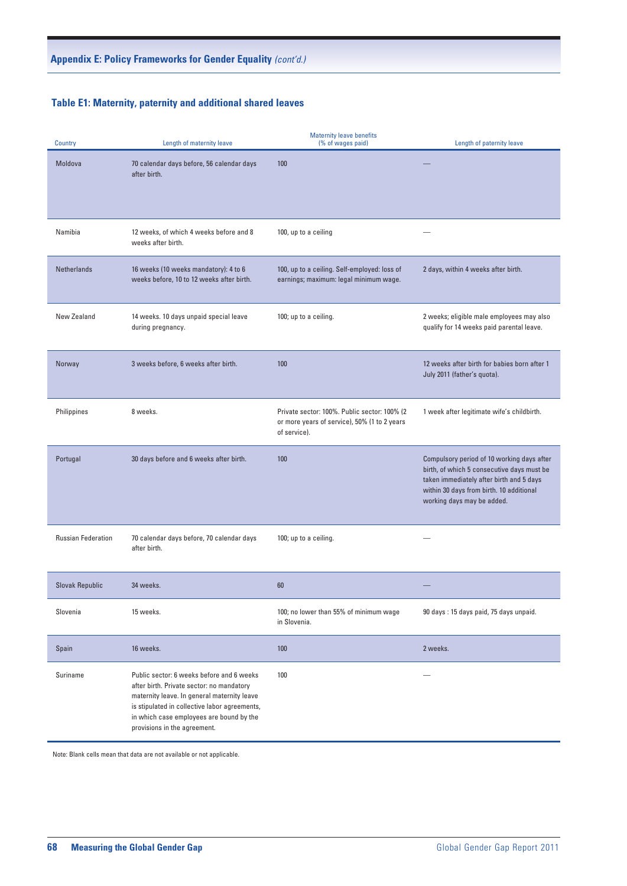# **Table E1: Maternity, paternity and additional shared leaves Table E1: Maternity, paternity and additional shared leaves** *(cont'd.)*

| <b>Country</b>            | Length of maternity leave                                                                                                                                                                                                                                          | <b>Maternity leave benefits</b><br>(% of wages paid)                                                         | Length of paternity leave                                                                                                                                                                                      |
|---------------------------|--------------------------------------------------------------------------------------------------------------------------------------------------------------------------------------------------------------------------------------------------------------------|--------------------------------------------------------------------------------------------------------------|----------------------------------------------------------------------------------------------------------------------------------------------------------------------------------------------------------------|
| Moldova                   | 70 calendar days before, 56 calendar days<br>after birth.                                                                                                                                                                                                          | 100                                                                                                          |                                                                                                                                                                                                                |
| Namibia                   | 12 weeks, of which 4 weeks before and 8<br>weeks after birth.                                                                                                                                                                                                      | 100, up to a ceiling                                                                                         |                                                                                                                                                                                                                |
| Netherlands               | 16 weeks (10 weeks mandatory): 4 to 6<br>weeks before, 10 to 12 weeks after birth.                                                                                                                                                                                 | 100, up to a ceiling. Self-employed: loss of<br>earnings; maximum: legal minimum wage.                       | 2 days, within 4 weeks after birth.                                                                                                                                                                            |
| New Zealand               | 14 weeks. 10 days unpaid special leave<br>during pregnancy.                                                                                                                                                                                                        | 100; up to a ceiling.                                                                                        | 2 weeks; eligible male employees may also<br>qualify for 14 weeks paid parental leave.                                                                                                                         |
| Norway                    | 3 weeks before, 6 weeks after birth.                                                                                                                                                                                                                               | 100                                                                                                          | 12 weeks after birth for babies born after 1<br>July 2011 (father's quota).                                                                                                                                    |
| Philippines               | 8 weeks.                                                                                                                                                                                                                                                           | Private sector: 100%. Public sector: 100% (2<br>or more years of service), 50% (1 to 2 years<br>of service). | 1 week after legitimate wife's childbirth.                                                                                                                                                                     |
| Portugal                  | 30 days before and 6 weeks after birth.                                                                                                                                                                                                                            | 100                                                                                                          | Compulsory period of 10 working days after<br>birth, of which 5 consecutive days must be<br>taken immediately after birth and 5 days<br>within 30 days from birth. 10 additional<br>working days may be added. |
| <b>Russian Federation</b> | 70 calendar days before, 70 calendar days<br>after birth.                                                                                                                                                                                                          | 100; up to a ceiling.                                                                                        |                                                                                                                                                                                                                |
| Slovak Republic           | 34 weeks.                                                                                                                                                                                                                                                          | 60                                                                                                           |                                                                                                                                                                                                                |
| Slovenia                  | 15 weeks.                                                                                                                                                                                                                                                          | 100; no lower than 55% of minimum wage<br>in Slovenia.                                                       | 90 days: 15 days paid, 75 days unpaid.                                                                                                                                                                         |
| Spain                     | 16 weeks.                                                                                                                                                                                                                                                          | 100                                                                                                          | 2 weeks.                                                                                                                                                                                                       |
| Suriname                  | Public sector: 6 weeks before and 6 weeks<br>after birth. Private sector: no mandatory<br>maternity leave. In general maternity leave<br>is stipulated in collective labor agreements,<br>in which case employees are bound by the<br>provisions in the agreement. | 100                                                                                                          | $\overline{\phantom{0}}$                                                                                                                                                                                       |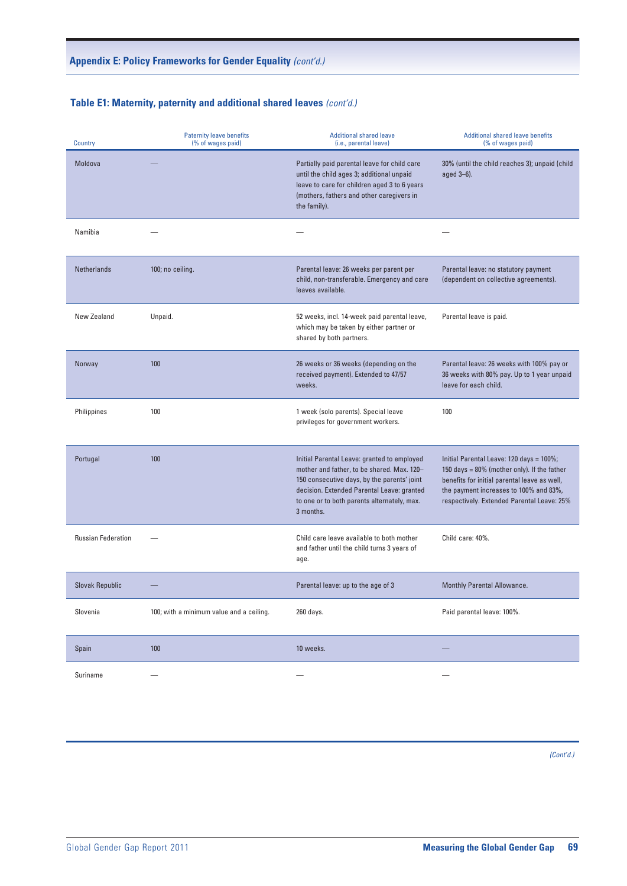# **Table E1: Maternity, paternity and additional shared leaves** (cont'd.)

| <b>Country</b>            | <b>Paternity leave benefits</b><br>(% of wages paid) | <b>Additional shared leave</b><br>(i.e., parental leave)                                                                                                                                                                                           | <b>Additional shared leave benefits</b><br>(% of wages paid)                                                                                                                                                                    |
|---------------------------|------------------------------------------------------|----------------------------------------------------------------------------------------------------------------------------------------------------------------------------------------------------------------------------------------------------|---------------------------------------------------------------------------------------------------------------------------------------------------------------------------------------------------------------------------------|
| Moldova                   |                                                      | Partially paid parental leave for child care<br>until the child ages 3; additional unpaid<br>leave to care for children aged 3 to 6 years<br>(mothers, fathers and other caregivers in<br>the family).                                             | 30% (until the child reaches 3); unpaid (child<br>aged 3-6).                                                                                                                                                                    |
| Namibia                   |                                                      | $\hspace{0.1mm}-\hspace{0.1mm}$                                                                                                                                                                                                                    | $\overline{\phantom{a}}$                                                                                                                                                                                                        |
| Netherlands               | 100; no ceiling.                                     | Parental leave: 26 weeks per parent per<br>child, non-transferable. Emergency and care<br>leaves available.                                                                                                                                        | Parental leave: no statutory payment<br>(dependent on collective agreements).                                                                                                                                                   |
| New Zealand               | Unpaid.                                              | 52 weeks, incl. 14-week paid parental leave,<br>which may be taken by either partner or<br>shared by both partners.                                                                                                                                | Parental leave is paid.                                                                                                                                                                                                         |
| Norway                    | 100                                                  | 26 weeks or 36 weeks (depending on the<br>received payment). Extended to 47/57<br>weeks.                                                                                                                                                           | Parental leave: 26 weeks with 100% pay or<br>36 weeks with 80% pay. Up to 1 year unpaid<br>leave for each child.                                                                                                                |
| Philippines               | 100                                                  | 1 week (solo parents). Special leave<br>privileges for government workers.                                                                                                                                                                         | 100                                                                                                                                                                                                                             |
| Portugal                  | 100                                                  | Initial Parental Leave: granted to employed<br>mother and father, to be shared. Max. 120-<br>150 consecutive days, by the parents' joint<br>decision. Extended Parental Leave: granted<br>to one or to both parents alternately, max.<br>3 months. | Initial Parental Leave: 120 days = 100%;<br>150 days = 80% (mother only). If the father<br>benefits for initial parental leave as well,<br>the payment increases to 100% and 83%,<br>respectively. Extended Parental Leave: 25% |
| <b>Russian Federation</b> | $\overline{\phantom{a}}$                             | Child care leave available to both mother<br>and father until the child turns 3 years of<br>age.                                                                                                                                                   | Child care: 40%.                                                                                                                                                                                                                |
| <b>Slovak Republic</b>    |                                                      | Parental leave: up to the age of 3                                                                                                                                                                                                                 | Monthly Parental Allowance.                                                                                                                                                                                                     |
| Slovenia                  | 100; with a minimum value and a ceiling.             | 260 days.                                                                                                                                                                                                                                          | Paid parental leave: 100%.                                                                                                                                                                                                      |
| Spain                     | 100                                                  | 10 weeks.                                                                                                                                                                                                                                          | $\hspace{0.1mm}-\hspace{0.1mm}$                                                                                                                                                                                                 |
| Suriname                  | $\overline{\phantom{m}}$                             | $\hspace{0.1mm}-\hspace{0.1mm}$                                                                                                                                                                                                                    | $\overline{\phantom{m}}$                                                                                                                                                                                                        |

 $N_{\rm eff}$  (Cont'd.) $\alpha$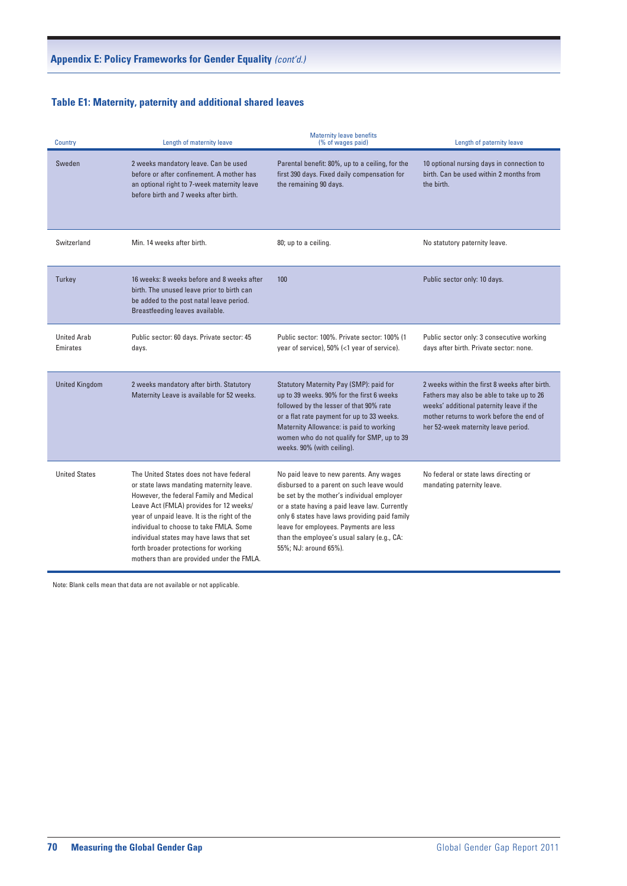# **Table E1: Maternity, paternity and additional shared leaves Table E1: Maternity, paternity and additional shared leaves** *(cont'd.)*

| Country                        | Length of maternity leave                                                                                                                                                                                                                                                                                                                                                                              | <b>Maternity leave benefits</b><br>(% of wages paid)                                                                                                                                                                                                                                                                                                   | Length of paternity leave                                                                                                                                                                                                 |
|--------------------------------|--------------------------------------------------------------------------------------------------------------------------------------------------------------------------------------------------------------------------------------------------------------------------------------------------------------------------------------------------------------------------------------------------------|--------------------------------------------------------------------------------------------------------------------------------------------------------------------------------------------------------------------------------------------------------------------------------------------------------------------------------------------------------|---------------------------------------------------------------------------------------------------------------------------------------------------------------------------------------------------------------------------|
| Sweden                         | 2 weeks mandatory leave. Can be used<br>before or after confinement. A mother has<br>an optional right to 7-week maternity leave<br>before birth and 7 weeks after birth.                                                                                                                                                                                                                              | Parental benefit: 80%, up to a ceiling, for the<br>first 390 days. Fixed daily compensation for<br>the remaining 90 days.                                                                                                                                                                                                                              | 10 optional nursing days in connection to<br>birth. Can be used within 2 months from<br>the birth.                                                                                                                        |
| Switzerland                    | Min. 14 weeks after birth.                                                                                                                                                                                                                                                                                                                                                                             | 80; up to a ceiling.                                                                                                                                                                                                                                                                                                                                   | No statutory paternity leave.                                                                                                                                                                                             |
| Turkey                         | 16 weeks: 8 weeks before and 8 weeks after<br>birth. The unused leave prior to birth can<br>be added to the post natal leave period.<br>Breastfeeding leaves available.                                                                                                                                                                                                                                | 100                                                                                                                                                                                                                                                                                                                                                    | Public sector only: 10 days.                                                                                                                                                                                              |
| <b>United Arab</b><br>Emirates | Public sector: 60 days. Private sector: 45<br>days.                                                                                                                                                                                                                                                                                                                                                    | Public sector: 100%. Private sector: 100% (1<br>year of service), 50% (<1 year of service).                                                                                                                                                                                                                                                            | Public sector only: 3 consecutive working<br>days after birth. Private sector: none.                                                                                                                                      |
| <b>United Kingdom</b>          | 2 weeks mandatory after birth. Statutory<br>Maternity Leave is available for 52 weeks.                                                                                                                                                                                                                                                                                                                 | Statutory Maternity Pay (SMP): paid for<br>up to 39 weeks. 90% for the first 6 weeks<br>followed by the lesser of that 90% rate<br>or a flat rate payment for up to 33 weeks.<br>Maternity Allowance: is paid to working<br>women who do not qualify for SMP, up to 39<br>weeks. 90% (with ceiling).                                                   | 2 weeks within the first 8 weeks after birth.<br>Fathers may also be able to take up to 26<br>weeks' additional paternity leave if the<br>mother returns to work before the end of<br>her 52-week maternity leave period. |
| <b>United States</b>           | The United States does not have federal<br>or state laws mandating maternity leave.<br>However, the federal Family and Medical<br>Leave Act (FMLA) provides for 12 weeks/<br>year of unpaid leave. It is the right of the<br>individual to choose to take FMLA. Some<br>individual states may have laws that set<br>forth broader protections for working<br>mothers than are provided under the FMLA. | No paid leave to new parents. Any wages<br>disbursed to a parent on such leave would<br>be set by the mother's individual employer<br>or a state having a paid leave law. Currently<br>only 6 states have laws providing paid family<br>leave for employees. Payments are less<br>than the employee's usual salary (e.g., CA:<br>55%; NJ: around 65%). | No federal or state laws directing or<br>mandating paternity leave.                                                                                                                                                       |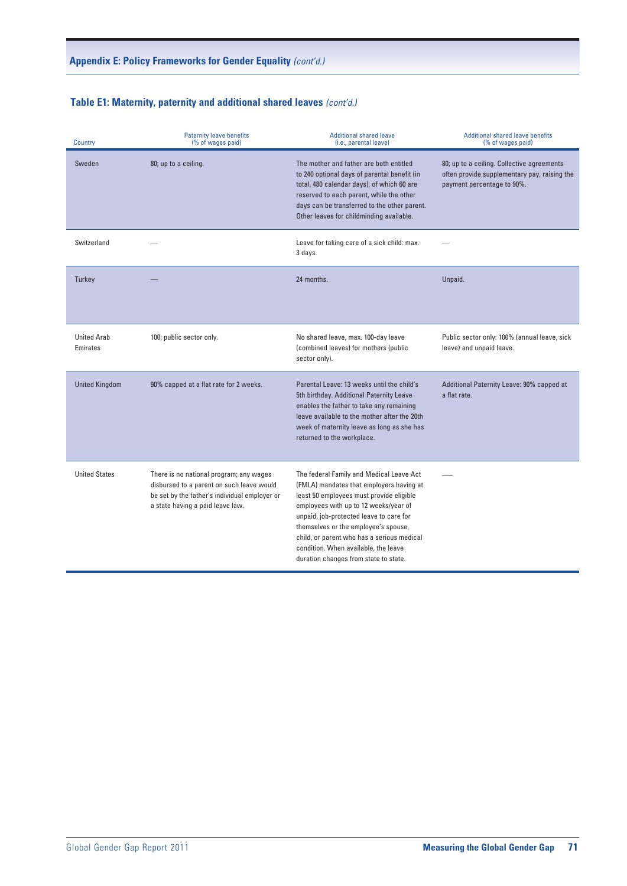# **Table E1: Maternity, paternity and additional shared leaves** (cont'd.)

| Country                        | <b>Paternity leave benefits</b><br>(% of wages paid)                                                                                                                      | <b>Additional shared leave</b><br>(i.e., parental leave)                                                                                                                                                                                                                                                                                                                                    | <b>Additional shared leave benefits</b><br>(% of wages paid)                                                             |
|--------------------------------|---------------------------------------------------------------------------------------------------------------------------------------------------------------------------|---------------------------------------------------------------------------------------------------------------------------------------------------------------------------------------------------------------------------------------------------------------------------------------------------------------------------------------------------------------------------------------------|--------------------------------------------------------------------------------------------------------------------------|
| Sweden                         | 80; up to a ceiling.                                                                                                                                                      | The mother and father are both entitled<br>to 240 optional days of parental benefit (in<br>total, 480 calendar days), of which 60 are<br>reserved to each parent, while the other<br>days can be transferred to the other parent.<br>Other leaves for childminding available.                                                                                                               | 80; up to a ceiling. Collective agreements<br>often provide supplementary pay, raising the<br>payment percentage to 90%. |
| Switzerland                    |                                                                                                                                                                           | Leave for taking care of a sick child: max.<br>3 days.                                                                                                                                                                                                                                                                                                                                      | $\overline{\phantom{0}}$                                                                                                 |
| Turkey                         |                                                                                                                                                                           | 24 months.                                                                                                                                                                                                                                                                                                                                                                                  | Unpaid.                                                                                                                  |
| <b>United Arab</b><br>Emirates | 100; public sector only.                                                                                                                                                  | No shared leave, max. 100-day leave<br>(combined leaves) for mothers (public<br>sector only).                                                                                                                                                                                                                                                                                               | Public sector only: 100% (annual leave, sick<br>leave) and unpaid leave.                                                 |
| <b>United Kingdom</b>          | 90% capped at a flat rate for 2 weeks.                                                                                                                                    | Parental Leave: 13 weeks until the child's<br>5th birthday. Additional Paternity Leave<br>enables the father to take any remaining<br>leave available to the mother after the 20th<br>week of maternity leave as long as she has<br>returned to the workplace.                                                                                                                              | Additional Paternity Leave: 90% capped at<br>a flat rate.                                                                |
| <b>United States</b>           | There is no national program; any wages<br>disbursed to a parent on such leave would<br>be set by the father's individual employer or<br>a state having a paid leave law. | The federal Family and Medical Leave Act<br>(FMLA) mandates that employers having at<br>least 50 employees must provide eligible<br>employees with up to 12 weeks/year of<br>unpaid, job-protected leave to care for<br>themselves or the employee's spouse,<br>child, or parent who has a serious medical<br>condition. When available, the leave<br>duration changes from state to state. |                                                                                                                          |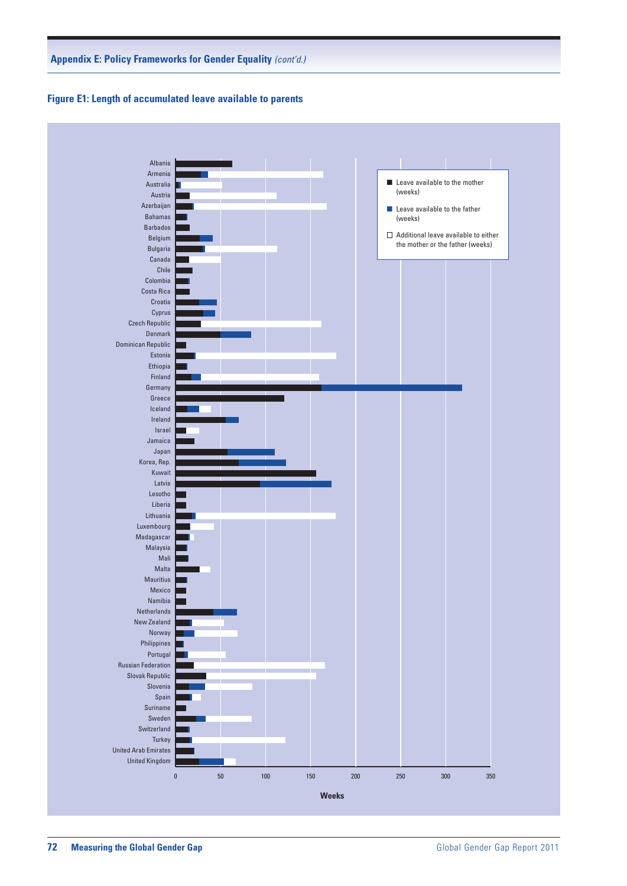



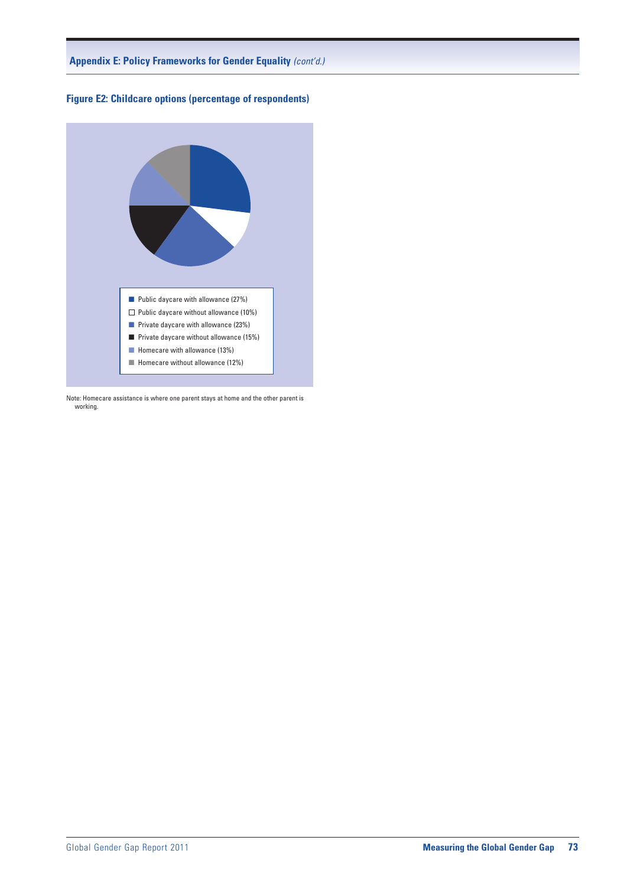



Note: Homecare assistance is where one parent stays at home and the other parent is working.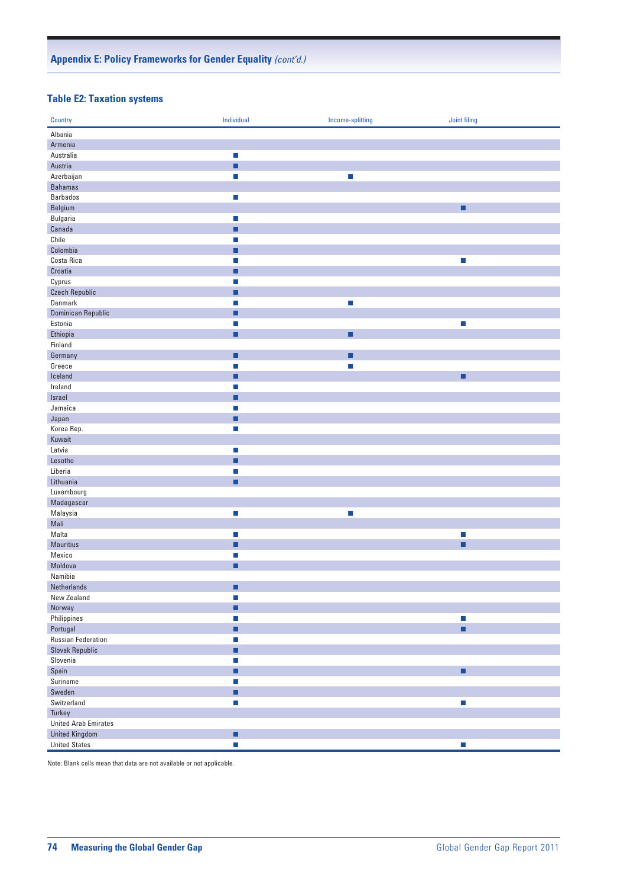#### **Table E2: Taxation systems**

| Country                     | Individual                  | Income-splitting            | Joint filing                |
|-----------------------------|-----------------------------|-----------------------------|-----------------------------|
| Albania                     |                             |                             |                             |
| Armenia                     |                             |                             |                             |
| Australia                   | $\mathcal{L}_{\mathcal{A}}$ |                             |                             |
| Austria                     | ■                           |                             |                             |
| Azerbaijan                  | п                           | П                           |                             |
| <b>Bahamas</b>              |                             |                             |                             |
| Barbados                    | $\mathcal{L}_{\mathcal{A}}$ |                             |                             |
| Belgium                     |                             |                             | ■                           |
| Bulgaria                    | $\mathcal{L}_{\mathcal{A}}$ |                             |                             |
| Canada                      | ■                           |                             |                             |
| Chile                       | П                           |                             |                             |
| Colombia                    | ■                           |                             |                             |
| Costa Rica                  | $\mathcal{L}_{\mathcal{A}}$ |                             | $\mathcal{L}_{\mathcal{A}}$ |
| Croatia                     | п                           |                             |                             |
| Cyprus                      | $\mathcal{L}_{\mathcal{A}}$ |                             |                             |
| <b>Czech Republic</b>       | ■                           |                             |                             |
| Denmark                     | П                           | $\mathcal{L}_{\mathcal{A}}$ |                             |
| Dominican Republic          | ■                           |                             |                             |
| Estonia                     | $\mathcal{L}_{\mathcal{A}}$ |                             | $\Box$                      |
| Ethiopia                    | п                           | ٠                           |                             |
| Finland                     |                             |                             |                             |
| Germany                     | п                           | ٠                           |                             |
| Greece                      | П                           | n.                          |                             |
| Iceland                     | П                           |                             | ■                           |
| Ireland                     | $\mathcal{L}_{\mathcal{A}}$ |                             |                             |
| Israel                      | п                           |                             |                             |
| Jamaica                     | $\mathcal{L}_{\mathcal{A}}$ |                             |                             |
| Japan                       | ■                           |                             |                             |
| Korea Rep.                  | п                           |                             |                             |
| Kuwait                      |                             |                             |                             |
| Latvia                      | $\mathcal{L}_{\mathcal{A}}$ |                             |                             |
| Lesotho                     | ٠                           |                             |                             |
| Liberia                     | $\mathcal{L}_{\mathcal{A}}$ |                             |                             |
| Lithuania                   | ■                           |                             |                             |
| Luxembourg                  |                             |                             |                             |
| Madagascar                  |                             |                             |                             |
| Malaysia                    | $\mathcal{L}_{\mathcal{A}}$ | $\mathbb{Z}^2$              |                             |
| Mali                        |                             |                             |                             |
| Malta                       | $\mathcal{L}_{\mathcal{A}}$ |                             | $\mathcal{L}_{\mathcal{A}}$ |
| Mauritius                   | ■                           |                             | ■                           |
| Mexico                      | $\Box$                      |                             |                             |
| Moldova                     | п                           |                             |                             |
| Namibia                     |                             |                             |                             |
| Netherlands                 |                             |                             |                             |
| New Zealand                 | $\mathcal{C}$               |                             |                             |
| Norway                      | п                           |                             |                             |
| Philippines                 | $\mathcal{L}_{\mathcal{A}}$ |                             | L.                          |
| Portugal                    | ٠                           |                             | ٠                           |
| <b>Russian Federation</b>   | $\mathcal{L}_{\mathcal{A}}$ |                             |                             |
| Slovak Republic             | ٠                           |                             |                             |
| Slovenia                    | $\mathcal{L}_{\mathcal{A}}$ |                             |                             |
| Spain                       | Ø.                          |                             | Ξ                           |
| Suriname                    | $\mathcal{L}_{\mathcal{A}}$ |                             |                             |
| Sweden                      | ٠                           |                             |                             |
| Switzerland                 | $\mathcal{C}$               |                             | $\overline{\phantom{a}}$    |
| Turkey                      |                             |                             |                             |
| <b>United Arab Emirates</b> |                             |                             |                             |
| <b>United Kingdom</b>       | п                           |                             |                             |
| <b>United States</b>        | $\mathcal{L}_{\mathcal{A}}$ |                             | П                           |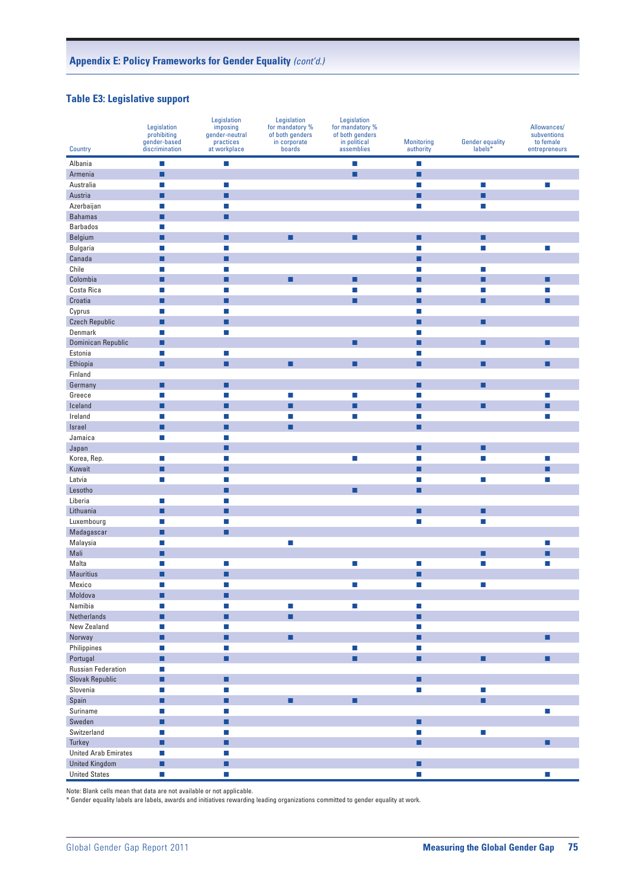#### **Table E3: Legislative support**

|                             | Legislation<br>prohibiting<br>gender-based | Legislation<br>imposing<br>gender-neutral<br>practices | Legislation<br>for mandatory %<br>of both genders<br>in corporate | Legislation<br>for mandatory %<br>of both genders<br>in political | <b>Monitoring</b>           | <b>Gender equality</b>      | Allowances/<br>subventions<br>to female |
|-----------------------------|--------------------------------------------|--------------------------------------------------------|-------------------------------------------------------------------|-------------------------------------------------------------------|-----------------------------|-----------------------------|-----------------------------------------|
| Country                     | discrimination                             | at workplace                                           | boards                                                            | assemblies                                                        | authority                   | labels*                     | entrepreneurs                           |
| Albania                     | $\Box$                                     | $\mathcal{C}$                                          |                                                                   | П                                                                 | $\Box$                      |                             |                                         |
| Armenia                     | ■                                          |                                                        |                                                                   | П                                                                 | П                           |                             |                                         |
| Australia                   | $\mathcal{L}_{\mathcal{A}}$                | $\mathcal{L}_{\mathcal{A}}$                            |                                                                   |                                                                   | п                           | $\mathcal{L}_{\mathcal{A}}$ | $\Box$                                  |
| Austria                     | ■                                          | ▪                                                      |                                                                   |                                                                   | ■                           | ٠                           |                                         |
| Azerbaijan                  | $\mathcal{L}_{\mathcal{A}}$                | $\mathcal{L}_{\mathcal{A}}$                            |                                                                   |                                                                   | $\mathcal{L}_{\mathcal{A}}$ | $\mathcal{L}_{\mathcal{A}}$ |                                         |
| <b>Bahamas</b>              | п                                          | п                                                      |                                                                   |                                                                   |                             |                             |                                         |
| <b>Barbados</b>             | П                                          |                                                        |                                                                   |                                                                   |                             |                             |                                         |
| Belgium                     | ■                                          | П                                                      | ■                                                                 | ■                                                                 | П                           | г                           |                                         |
| Bulgaria                    | L.                                         | $\mathcal{L}_{\mathcal{A}}$                            |                                                                   |                                                                   | п                           | $\mathcal{L}_{\mathcal{A}}$ | m,                                      |
| Canada                      | ■                                          | ■                                                      |                                                                   |                                                                   | ■                           |                             |                                         |
| Chile                       | $\mathcal{L}_{\mathcal{A}}$                | $\mathcal{L}_{\mathcal{A}}$                            |                                                                   |                                                                   | $\mathcal{L}_{\mathcal{A}}$ | $\mathcal{L}_{\mathcal{A}}$ |                                         |
| Colombia                    | ■                                          | ■                                                      | ■                                                                 | ■                                                                 | П                           | ■                           | П                                       |
| Costa Rica                  | П                                          | П                                                      |                                                                   | П                                                                 | П                           | П                           | F.                                      |
| Croatia                     | ■                                          | П                                                      |                                                                   | ■                                                                 | П                           | П                           | ■                                       |
| Cyprus                      | П                                          | п                                                      |                                                                   |                                                                   | п                           |                             |                                         |
| <b>Czech Republic</b>       | ■                                          | ■                                                      |                                                                   |                                                                   | ■                           | ■                           |                                         |
| Denmark                     | $\mathcal{L}_{\mathcal{A}}$                | $\mathcal{L}_{\mathcal{A}}$                            |                                                                   |                                                                   | $\mathcal{L}_{\mathcal{A}}$ |                             |                                         |
| Dominican Republic          | п                                          |                                                        |                                                                   | ▪                                                                 | П                           | ■                           | ■                                       |
| Estonia                     | п                                          | $\mathcal{L}_{\mathcal{A}}$                            |                                                                   |                                                                   | П                           |                             |                                         |
| Ethiopia                    | ■                                          | ■                                                      | ■                                                                 | ■                                                                 | П                           | г                           | ■                                       |
| Finland                     |                                            |                                                        |                                                                   |                                                                   |                             |                             |                                         |
| Germany                     | ▪                                          | ■                                                      |                                                                   |                                                                   | ■                           | ■                           |                                         |
| Greece                      | $\mathcal{L}_{\mathcal{A}}$                | $\Box$                                                 | $\mathcal{C}$                                                     | u                                                                 | $\mathcal{L}_{\mathcal{A}}$ |                             | $\Box$                                  |
| Iceland                     | ■                                          | ■                                                      | ■                                                                 | ■                                                                 | ■                           | ■                           | ■                                       |
| Ireland                     | П                                          | П                                                      | П                                                                 | П                                                                 | П                           |                             | F.                                      |
| Israel                      | ■                                          | П                                                      | ■                                                                 |                                                                   | П                           |                             |                                         |
| Jamaica                     | $\mathcal{L}_{\mathcal{A}}$                | П<br>■                                                 |                                                                   |                                                                   | ■                           | ■                           |                                         |
| Japan<br>Korea, Rep.        |                                            | П                                                      |                                                                   |                                                                   | П                           | П                           |                                         |
| Kuwait                      | $\mathcal{L}_{\mathcal{A}}$<br>п           | ■                                                      |                                                                   | u                                                                 | П                           |                             | $\Box$<br>■                             |
| Latvia                      | $\Box$                                     | П                                                      |                                                                   |                                                                   | п                           | $\mathcal{L}_{\mathcal{A}}$ | F.                                      |
| Lesotho                     |                                            | П                                                      |                                                                   | ■                                                                 | П                           |                             |                                         |
| Liberia                     | $\mathcal{L}_{\mathcal{A}}$                | п                                                      |                                                                   |                                                                   |                             |                             |                                         |
| Lithuania                   | ■                                          | ■                                                      |                                                                   |                                                                   | ■                           | П                           |                                         |
| Luxembourg                  | $\mathcal{L}_{\mathcal{A}}$                | $\mathcal{L}_{\mathcal{A}}$                            |                                                                   |                                                                   | $\mathcal{L}_{\mathcal{A}}$ | $\mathcal{A}$               |                                         |
| Madagascar                  | п                                          | п                                                      |                                                                   |                                                                   |                             |                             |                                         |
| Malaysia                    | $\mathcal{L}_{\mathcal{A}}$                |                                                        | $\mathcal{C}_{\mathcal{A}}$                                       |                                                                   |                             |                             | П                                       |
| Mali                        | ■                                          |                                                        |                                                                   |                                                                   |                             | ■                           |                                         |
| Malta                       | $\mathcal{L}_{\mathcal{A}}$                | $\mathcal{L}_{\mathcal{A}}$                            |                                                                   | $\Box$                                                            | L.                          | П                           | П                                       |
| <b>Mauritius</b>            | ■                                          | ■                                                      |                                                                   |                                                                   | ■                           |                             |                                         |
| Mexico                      | П                                          | П                                                      |                                                                   | П                                                                 | П                           | П                           |                                         |
| Moldova                     | ٠                                          | ٠                                                      |                                                                   |                                                                   |                             |                             |                                         |
| Namibia                     | L.                                         | $\Box$                                                 | $\mathcal{L}_{\mathcal{A}}$                                       | $\Box$                                                            | $\Box$                      |                             |                                         |
| Netherlands                 | п                                          | п                                                      | ■                                                                 |                                                                   | ٠                           |                             |                                         |
| New Zealand                 | $\mathcal{L}_{\mathcal{A}}$                | $\mathcal{L}_{\mathcal{A}}$                            |                                                                   |                                                                   | $\Box$                      |                             |                                         |
| Norway                      | ш                                          | ٠                                                      | ■                                                                 |                                                                   | ٠                           |                             | ■                                       |
| Philippines                 | $\mathcal{L}_{\mathcal{A}}$                | $\mathcal{L}_{\mathcal{A}}$                            |                                                                   | $\mathcal{L}_{\mathcal{A}}$                                       | $\Box$                      |                             |                                         |
| Portugal                    | ٠                                          | ٠                                                      |                                                                   | ٠                                                                 | ٠                           | п                           | ٠                                       |
| <b>Russian Federation</b>   | $\mathcal{L}_{\mathcal{A}}$                |                                                        |                                                                   |                                                                   |                             |                             |                                         |
| <b>Slovak Republic</b>      | п                                          | ■                                                      |                                                                   |                                                                   | ▪                           |                             |                                         |
| Slovenia                    | $\mathcal{L}_{\mathcal{A}}$                | п                                                      |                                                                   |                                                                   | $\Box$                      | $\mathcal{L}_{\mathcal{A}}$ |                                         |
| Spain                       | ш                                          | ٠                                                      | ■                                                                 | ٠                                                                 |                             | ٠                           |                                         |
| Suriname                    | $\mathcal{L}_{\mathcal{A}}$                | $\mathcal{C}$                                          |                                                                   |                                                                   |                             |                             | <b>I</b>                                |
| Sweden                      | ٠                                          | ٠                                                      |                                                                   |                                                                   | ٠                           |                             |                                         |
| Switzerland                 | $\Box$                                     | $\mathcal{A}$                                          |                                                                   |                                                                   | $\mathcal{L}_{\mathcal{A}}$ | $\mathbb{Z}^2$              |                                         |
| Turkey                      | п                                          | п                                                      |                                                                   |                                                                   | п                           |                             | ■                                       |
| <b>United Arab Emirates</b> | $\mathcal{L}_{\mathcal{A}}$                | $\mathcal{L}_{\mathcal{A}}$                            |                                                                   |                                                                   |                             |                             |                                         |
| <b>United Kingdom</b>       | ٠                                          | п                                                      |                                                                   |                                                                   | ▪                           |                             |                                         |
| <b>United States</b>        | $\mathcal{L}_{\mathcal{A}}$                | $\mathcal{C}$                                          |                                                                   |                                                                   | $\mathcal{L}_{\mathcal{A}}$ |                             | $\overline{\phantom{a}}$                |

Note: Blank cells mean that data are not available or not applicable.

\* Gender equality labels are labels, awards and initiatives rewarding leading organizations committed to gender equality at work.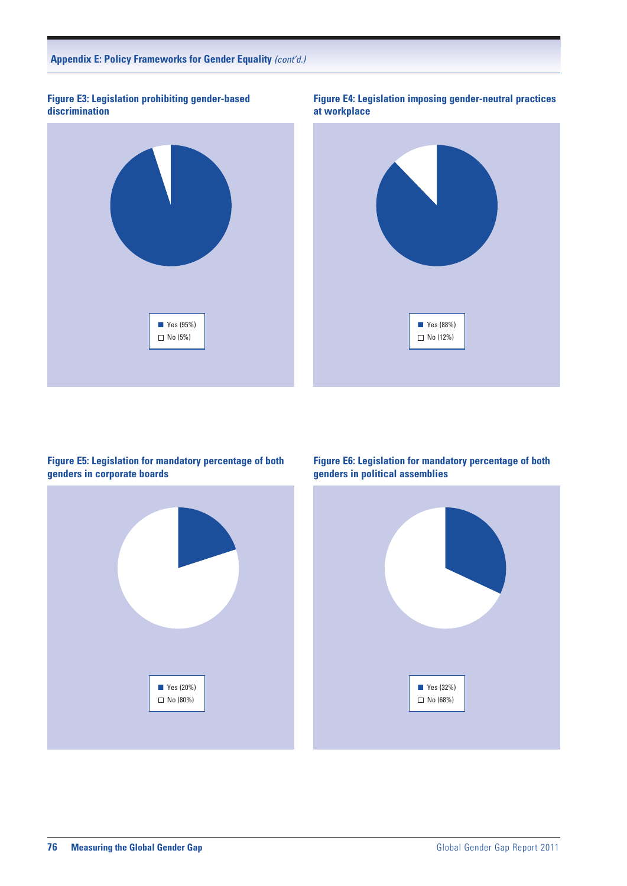

**Figure E3: Legislation prohibiting gender-based discrimination**

#### **Figure E5: Legislation for mandatory percentage of both genders in corporate boards**

**N** Yes (20%) No (80%)

**Figure E6: Legislation for mandatory percentage of both genders in political assemblies**

**Figure E4: Legislation imposing gender-neutral practices**